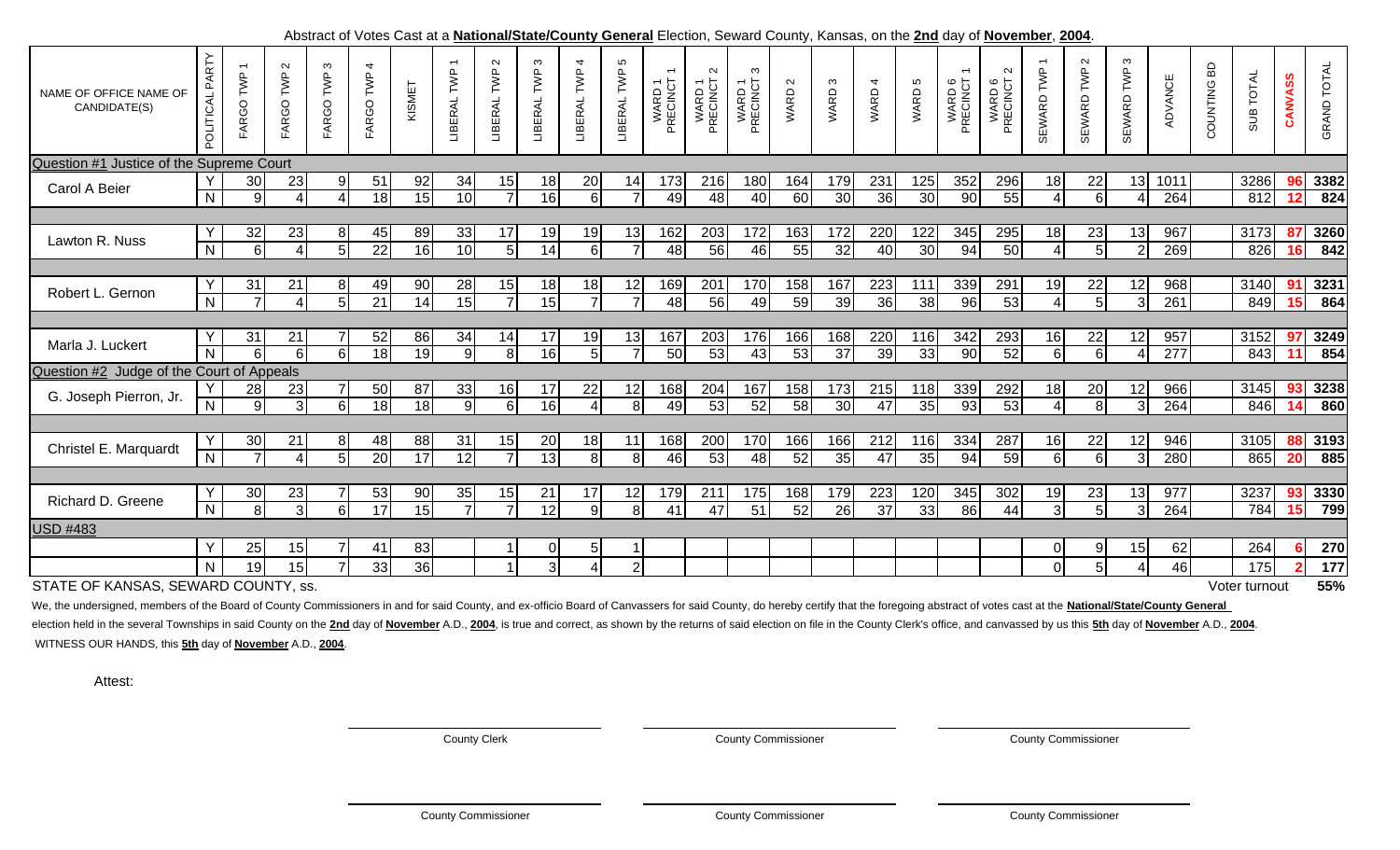| NAME OF OFFICE NAME OF<br>CANDIDATE(S)    | PARTY<br>POLITICAL | FARGO TWP                         | $\mathbf{\Omega}$<br>FARGO TWP | ო<br>FARGO TWP       | 4<br>FARGO TWP        | KISMET   | $\overline{ }$<br>LIBERAL TWP | $\sim$<br>LIBERAL TWP | $\infty$<br>TWP<br>LIBERAL | $\overline{ }$<br>LIBERAL TWP | Ю<br>TWP<br>LIBERAL  | WARD 1<br>PRECINCT | $\sim$<br>WARD 1<br>PRECINCT | ო<br>WARD 1<br>PRECINCT | WARD <sub>2</sub> | S<br>WARD.             | WARD 4                 | WARD 5    | WARD 6<br>PRECINCT | $\sim$<br>WARD 6<br>PRECINCT : | TWP<br><b>SEWARD</b> | $\sim$<br>TWP<br>SEWARD | $\infty$<br>SEWARD TWP | ADVANCE                 | COUNTING BD | SUB TOTAL     | <b>ANVASS</b>     | <b>GRAND TOTAL</b> |
|-------------------------------------------|--------------------|-----------------------------------|--------------------------------|----------------------|-----------------------|----------|-------------------------------|-----------------------|----------------------------|-------------------------------|----------------------|--------------------|------------------------------|-------------------------|-------------------|------------------------|------------------------|-----------|--------------------|--------------------------------|----------------------|-------------------------|------------------------|-------------------------|-------------|---------------|-------------------|--------------------|
| Question #1 Justice of the Supreme Court  |                    |                                   |                                |                      |                       |          |                               |                       |                            |                               |                      |                    |                              |                         |                   |                        |                        |           |                    |                                |                      |                         |                        |                         |             |               |                   |                    |
| Carol A Beier                             | $\overline{N}$     | 30 <sub>l</sub><br>$\overline{9}$ | 23<br>$\overline{4}$           | 9<br>$\overline{4}$  | 51<br>18              | 92<br>15 | 34<br>10                      | 15<br>$\overline{7}$  | 18<br>$\overline{16}$      | 20<br>$6 \mid$                | 14<br>$\overline{7}$ | 173<br>49          | 216<br>48                    | 180<br>40               | 164<br>60         | 179<br>30              | 231<br>36              | 125<br>30 | 352<br>90          | 296<br>55                      | 18<br>4 <sup>1</sup> | 22<br>$6 \,$            | 13<br>4                | 1011<br>264             |             | 3286<br>812   | $\mathbf{2}$      | 3382<br>824        |
|                                           |                    |                                   |                                |                      |                       |          |                               |                       |                            |                               |                      |                    |                              |                         |                   |                        |                        |           |                    |                                |                      |                         |                        |                         |             |               |                   |                    |
| Lawton R. Nuss                            | $\overline{N}$     | 32<br>$6 \mid$                    | 23<br>$\overline{4}$           | 8<br>$5\overline{)}$ | 45<br>22              | 89<br>16 | 33<br>10                      | 17<br>5 <sub>l</sub>  | 19<br>14                   | 19<br>$6 \mid$                | 13<br>$\overline{7}$ | 162<br>48          | 203<br>56                    | 172<br>46               | 163<br>55         | 172<br>32              | 220<br>40              | 122<br>30 | 345<br>94          | 295<br>50                      | 18<br>$\overline{4}$ | 23<br>$5\phantom{.0}$   | 13<br>$\overline{2}$   | 967<br>269              |             | 3173<br>826   | 87<br><u> 16 </u> | 3260<br>842        |
|                                           |                    |                                   |                                |                      |                       |          |                               |                       |                            |                               |                      |                    |                              |                         |                   |                        |                        |           |                    |                                |                      |                         |                        |                         |             |               |                   |                    |
| Robert L. Gernon                          | $\overline{N}$     | 31<br>7                           | 21<br>$\overline{4}$           | 8<br>$5\phantom{.0}$ | 49<br>$\overline{21}$ | 90<br>14 | 28<br>15                      | 15<br>$\overline{7}$  | 18<br>$\overline{15}$      | 18<br>$\overline{7}$          | 12<br>$\overline{7}$ | 169<br>48          | 201<br>56                    | 170<br>49               | 158<br>59         | 167<br>$\overline{39}$ | 223<br>36              | 111<br>38 | 339<br>96          | 291<br>53                      | 19<br>$\overline{4}$ | 22<br>5                 | 12<br>$\overline{3}$   | 968<br>261              |             | 3140<br>849   | 91<br><u>15</u>   | 3231<br>864        |
|                                           |                    |                                   |                                |                      |                       |          |                               |                       |                            |                               |                      |                    |                              |                         |                   |                        |                        |           |                    |                                |                      |                         |                        |                         |             |               |                   |                    |
| Marla J. Luckert                          | $\overline{N}$     | 31<br>6                           | 21<br>6 <sup>1</sup>           | 6                    | 52<br>18              | 86<br>19 | 34<br><b>q</b>                | 14<br>8 <sup>1</sup>  | 17<br>16                   | 19<br>5 <sub>l</sub>          | 13<br>$\overline{7}$ | 167<br>50          | 203<br>53                    | 176<br>43               | 166<br>53         | 168<br>$\overline{37}$ | 220<br>39              | 116<br>33 | 342<br>90          | 293<br>52                      | 16<br>$\overline{6}$ | 22<br>6                 | 12<br>Δ                | 957<br>$\overline{277}$ |             | 3152<br>843   | 97                | 3249<br>854        |
| Question #2 Judge of the Court of Appeals |                    |                                   |                                |                      |                       |          |                               |                       |                            |                               |                      |                    |                              |                         |                   |                        |                        |           |                    |                                |                      |                         |                        |                         |             |               |                   |                    |
| G. Joseph Pierron, Jr.                    | $\overline{N}$     | 28<br>$\overline{9}$              | 23<br>3 <sup>l</sup>           | $6\phantom{1}6$      | 50<br>18              | 87<br>18 | 33<br>9                       | 16<br>$6 \mid$        | 17<br>16                   | 22<br>4                       | 12<br>8              | 168<br>49          | 204<br>53                    | 167<br>52               | 158<br>58         | 173<br>30              | 215<br>47              | 118<br>35 | 339<br>93          | 292<br>53                      | 18<br>$\overline{4}$ | 20<br>8                 | 12<br>3                | 966<br>264              |             | 3145<br>846   | 93<br>14          | 3238<br>860        |
|                                           |                    |                                   |                                |                      |                       |          |                               |                       |                            |                               |                      |                    |                              |                         |                   |                        |                        |           |                    |                                |                      |                         |                        |                         |             |               |                   |                    |
| Christel E. Marquardt                     | $\overline{N}$     | 30                                | 21<br>$\overline{4}$           | 8<br>5               | 48<br>20              | 88<br>17 | 31<br>12                      | 15<br>$\overline{z}$  | 20<br>13                   | 18<br>8 <sup>1</sup>          | 11<br>8              | 168<br>46          | 200<br>53                    | 170<br>48               | 166<br>52         | 166<br>35              | 212<br>47              | 116<br>35 | 334<br>94          | 287<br>59                      | 16<br>6 <sup>1</sup> | 22<br>$6\phantom{1}6$   | 12<br>3                | 946<br>280              |             | 3105<br>865   | 20                | 3193<br>885        |
|                                           |                    |                                   |                                |                      |                       |          |                               |                       |                            |                               |                      |                    |                              |                         |                   |                        |                        |           |                    |                                |                      |                         |                        |                         |             |               |                   |                    |
| Richard D. Greene                         | $\overline{N}$     | 30<br>$\overline{8}$              | 23<br>$\overline{3}$           | $6 \overline{6}$     | 53<br>17              | 90<br>15 | 35                            | 15<br>$\overline{7}$  | 21<br>12                   | 17<br>9 <sub>l</sub>          | 12<br>$\overline{8}$ | 179<br>41          | 211<br>47                    | 175<br>51               | 168<br>52         | 179<br>$\overline{26}$ | 223<br>$\overline{37}$ | 120<br>33 | 345<br>86          | 302<br>44                      | 19<br>$\overline{3}$ | 23<br>5                 | 13<br>3                | 977<br>264              |             | 3237<br>784   | 93<br>5           | 3330<br>799        |
| <b>USD #483</b>                           |                    |                                   |                                |                      |                       |          |                               |                       |                            |                               |                      |                    |                              |                         |                   |                        |                        |           |                    |                                |                      |                         |                        |                         |             |               |                   |                    |
|                                           | Y                  | 25                                | 15                             |                      | 41                    | 83       |                               |                       | 0                          | 5 <sup>1</sup>                |                      |                    |                              |                         |                   |                        |                        |           |                    |                                | $\overline{O}$       | 9                       | 15                     | 62                      |             | 264           |                   | 270                |
|                                           | N.                 | 19                                | 15                             |                      | 33                    | 36       |                               |                       | 3                          |                               | $\overline{2}$       |                    |                              |                         |                   |                        |                        |           |                    |                                | οI                   | 5                       | 4                      | 46                      |             | 175           |                   | 177                |
| STATE OF KANSAS, SEWARD COUNTY, ss.       |                    |                                   |                                |                      |                       |          |                               |                       |                            |                               |                      |                    |                              |                         |                   |                        |                        |           |                    |                                |                      |                         |                        |                         |             | Voter turnout |                   | 55%                |

## Abstract of Votes Cast at a **National/State/County General** Election, Seward County, Kansas, on the **2nd** day of **November**, **2004**.

We, the undersigned, members of the Board of County Commissioners in and for said County, and ex-officio Board of Canvassers for said County, do hereby certify that the foregoing abstract of votes cast at the National/Stat

election held in the several Townships in said County on the 2nd day of November A.D., 2004, is true and correct, as shown by the returns of said election on file in the County Clerk's office, and canvassed by us this 5th WITNESS OUR HANDS, this **5th** day of **November** A.D., **2004**.

Attest:

County Clerk County Commissioner County Commissioner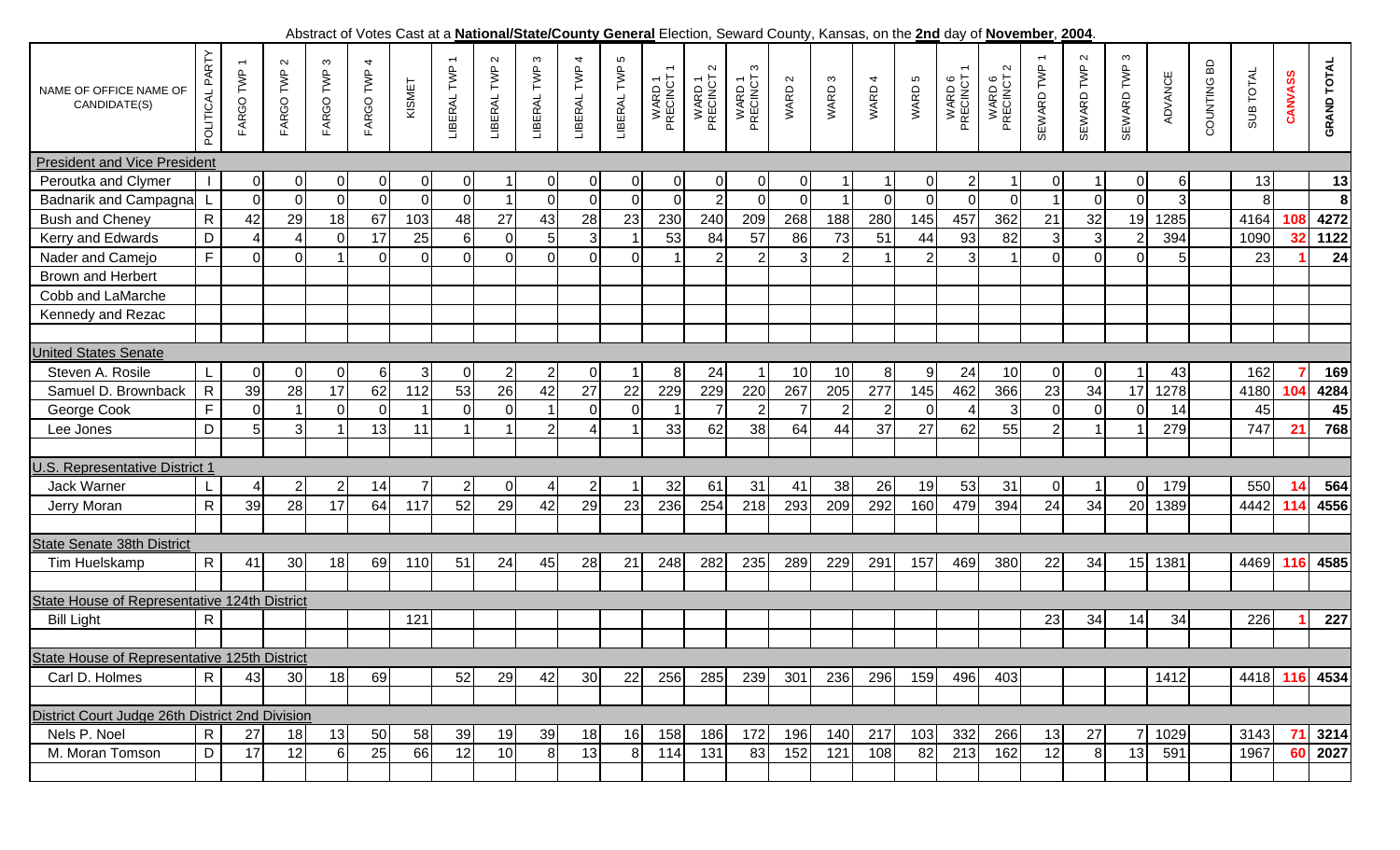Abstract of Votes Cast at a **National/State/County General** Election, Seward County, Kansas, on the **2nd** day of **November**, **2004**. POLITICAL PARTY POLITICAL PARTY  $\boldsymbol{\infty}$  $\sim$  $\infty$ 5  $\mathbf{\Omega}$ LIBERAL TWP 1 SEWARD TWP 2 SEWARD TWP 3 LIBERAL TWP 2 LIBERAL TWP 3 LIBERAL TWP 4 LIBERAL TWP 5 SEWARD TWP 1 **GRAND TOTAL**  $\sim$ FARGO TWP 3 FARGO TWP 4 LIBERAL TWP 1 WARD 6<br>PRECINCT 1 COUNTING BD **GRAND TOTAL** FARGO TWP 1 FARGO TWP 2 FARGO TWP 3 FARGO TWP 4 COUNTING BD FARGO TWP 1 TWP.  $\sim$ ო  $\sim$ **IBERAL TWP** LIBERAL TWP SEWARD TWP SEWARD TWP SEWARD TWP LIBERAL TWP PRECINCT 2 PRECINCT 3 PRECINCT 2 **ADVANCE** SUB TOTAL FARGO TWP PRECINCT 1 PRECINCT 1 SUB TOTAL WARD 1<br>PRECINCT WARD 1<br>PRECINCT 2 WARD 1<br>PRECINCT 3 WARD 6<br>PRECINCT 2 **CANVASS CANVASS** WARD 1 WARD 1 WARD 1  $\infty$ WARD 6 WARD 6 ADVANCE KISMET  $\sim$  $\overline{\mathcal{A}}$ Б WARD 2 WARD 3 WARD 4 WARD 5 WARD 3 NAME OF OFFICE NAME OF WARD: WARD. WARD ! LIBERAL<sup>-</sup> CANDIDATE(S) President and Vice President Peroutka and Clymer I 0 0 0 0 0 0 1 0 0 0 0 0 0 0 1 1 0 2 1 0 1 0 6 13 **13** Badnarik and Campagna L 0 0 0 0 0 0 1 0 0 0 0 2 0 0 1 0 0 0 0 1 0 0 3 8 **8** Bush and Cheney R 42 29 18 67 103 48 27 43 28 23 230 240 209 268 188 280 145 457 362 21 32 19 1285 4164 **108 4272** Kerry and Edwards | D | 4| 4| 0| 17| 25| 6| 0| 5| 3| 1| 53| 84| 57| 86| 73| 51| 44| 93| 82| 3| 3| 2| 394| |1090| **32| 1122**  Nader and Camejo F 0 0 1 0 0 0 0 0 0 0 1 2 2 3 2 1 2 3 1 0 0 0 5 23 **1 24** Brown and Herbert Cobb and LaMarche Kennedy and Rezac United States Senate Steven A. Rosile L 0 0 0 6 3 0 2 2 0 1 8 24 1 10 10 8 9 24 10 0 0 1 43 162 **7 169** Samuel D. Brownback R 39 28 17 62 112 53 26 42 27 22 229 229 220 267 205 277 145 462 366 23 34 17 1278 4180 **104 4284** George Cook F 0 1 0 0 1 0 0 1 0 0 1 7 2 7 2 2 0 4 3 0 0 0 14 45 **45** Lee Joness ID 5 3 1 13 11 1 1 2 4 1 33 62 38 64 44 37 27 62 55 2 1 1 279 747 **21 768** U.S. Representative District 1 Jack Warnerr IL 4 2 2 14 7 2 0 4 2 1 32 61 31 41 38 26 19 53 31 0 1 0 179 550 **14 564** Jerry Moran R 39 28 17 64 117 52 29 42 29 23 236 254 218 293 209 292 160 479 394 24 34 20 1389 4442 **114 4556** State Senate 38th District Tim Huelskamp R 41 30 18 69 110 51 24 45 28 21 248 282 235 289 229 291 157 469 380 22 34 15 1381 4469 **116 4585** State House of Representative 124th District Bill Light R 121 23 34 14 34 226 **1 227** State House of Representative 125th District R Carl D. Holmes 43 30 18 69 52 29 42 30 22 256 285 239 301 236 296 159 496 403 1412 4418 **116 4534** District Court Judge 26th District 2nd Division Nels P. Noel R 27 18 13 50 58 39 19 39 18 16 158 186 172 196 140 217 103 332 266 13 27 7 1029 3143 **71 3214** D M. Moran Tomson17 12 6 25 66 12 10 8 13 8 114 131 83 152 121 108 82 213 162 12 8 13 591 1967 **60 2027**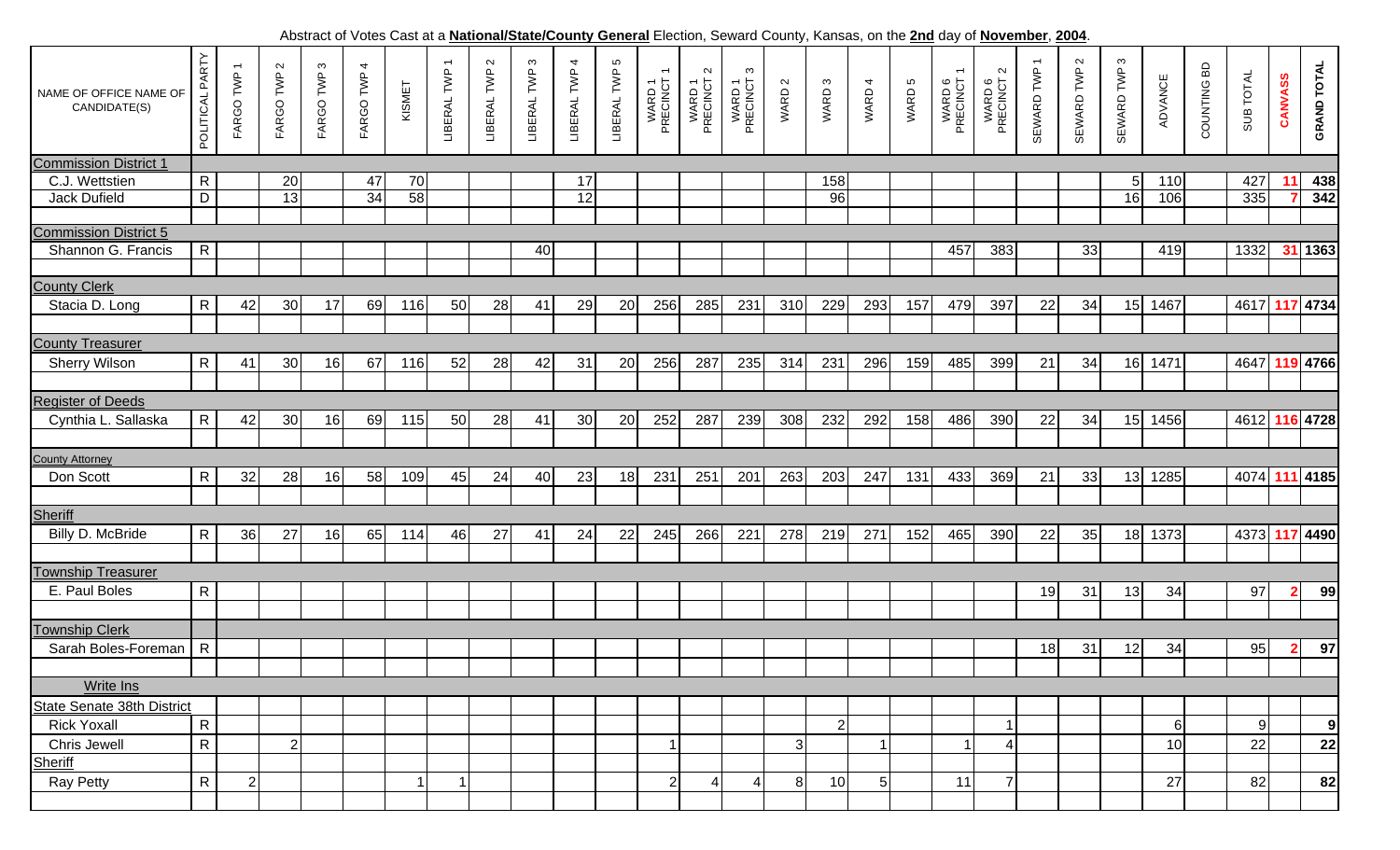Abstract of Votes Cast at a **National/State/County General** Election, Seward County, Kansas, on the **2nd** day of **November**, **2004**.

| NAME OF OFFICE NAME OF<br>CANDIDATE(S) | PARTY<br>POLITICAL | FARGO TWP      | FARGO TWP 2    | S<br>FARGO TWP | FARGO TWP 4     | KISMET | $\overline{\phantom{0}}$<br>LIBERAL TWP | $\sim$<br>LIBERAL TWP | $\mathfrak{g}$<br>LIBERAL TWP | 4<br>LIBERAL TWP | 5<br>LIBERAL TWP | WARD 1<br>PRECINCT | $\sim$<br>WARD 1<br>PRECINCT | S<br>WARD 1<br>PRECINCT | WARD 2         | WARD <sub>3</sub> | WARD 4 | WARD 5 | WARD 6<br>PRECINCT | $\sim$<br>WARD 6<br>PRECINCT 2 | $\overline{\phantom{0}}$<br>SEWARD TWP | $\sim$<br>SEWARD TWP | SEWARD TWP 3 | ADVANCE | COUNTING BD | SUB TOTAL      | CANVASS                 | <b>GRAND TOTAL</b> |
|----------------------------------------|--------------------|----------------|----------------|----------------|-----------------|--------|-----------------------------------------|-----------------------|-------------------------------|------------------|------------------|--------------------|------------------------------|-------------------------|----------------|-------------------|--------|--------|--------------------|--------------------------------|----------------------------------------|----------------------|--------------|---------|-------------|----------------|-------------------------|--------------------|
| <b>Commission District 1</b>           |                    |                |                |                |                 |        |                                         |                       |                               |                  |                  |                    |                              |                         |                |                   |        |        |                    |                                |                                        |                      |              |         |             |                |                         |                    |
| C.J. Wettstien                         | $\mathsf{R}$       |                | 20             |                | 47              | 70     |                                         |                       |                               | 17               |                  |                    |                              |                         |                | 158               |        |        |                    |                                |                                        |                      | 5            | 110     |             | 427            |                         | 438                |
| Jack Dufield                           | $\overline{D}$     |                | 13             |                | $\overline{34}$ | 58     |                                         |                       |                               | 12               |                  |                    |                              |                         |                | 96                |        |        |                    |                                |                                        |                      | 16           | 106     |             | 335            |                         | 342                |
|                                        |                    |                |                |                |                 |        |                                         |                       |                               |                  |                  |                    |                              |                         |                |                   |        |        |                    |                                |                                        |                      |              |         |             |                |                         |                    |
| <b>Commission District 5</b>           |                    |                |                |                |                 |        |                                         |                       |                               |                  |                  |                    |                              |                         |                |                   |        |        |                    |                                |                                        |                      |              |         |             |                |                         |                    |
| Shannon G. Francis                     | R                  |                |                |                |                 |        |                                         |                       | 40                            |                  |                  |                    |                              |                         |                |                   |        |        | 457                | 383                            |                                        | 33                   |              | 419     |             | 1332           |                         | 31 1363            |
|                                        |                    |                |                |                |                 |        |                                         |                       |                               |                  |                  |                    |                              |                         |                |                   |        |        |                    |                                |                                        |                      |              |         |             |                |                         |                    |
| <b>County Clerk</b>                    |                    |                |                |                |                 |        |                                         |                       |                               |                  |                  |                    |                              |                         |                |                   |        |        |                    |                                |                                        |                      |              |         |             |                |                         |                    |
| Stacia D. Long                         | $\mathsf{R}$       | 42             | 30             | 17             | 69              | 116    | 50                                      | 28                    | 41                            | 29               | 20               | 256                | 285                          | 231                     | 310            | 229               | 293    | 157    | 479                | 397                            | 22                                     | 34                   | 15           | 1467    |             | 4617 117 4734  |                         |                    |
|                                        |                    |                |                |                |                 |        |                                         |                       |                               |                  |                  |                    |                              |                         |                |                   |        |        |                    |                                |                                        |                      |              |         |             |                |                         |                    |
| <b>County Treasurer</b>                |                    |                |                |                |                 |        |                                         |                       |                               |                  |                  |                    |                              |                         |                |                   |        |        |                    |                                |                                        |                      |              |         |             |                |                         |                    |
| <b>Sherry Wilson</b>                   | $\mathsf{R}$       | 41             | 30             | 16             | 67              | 116    | 52                                      | 28                    | 42                            | 31               | 20               | 256                | 287                          | 235                     | 314            | 231               | 296    | 159    | 485                | 399                            | 21                                     | 34                   | 16           | 1471    |             | 4647 119 4766  |                         |                    |
|                                        |                    |                |                |                |                 |        |                                         |                       |                               |                  |                  |                    |                              |                         |                |                   |        |        |                    |                                |                                        |                      |              |         |             |                |                         |                    |
|                                        |                    |                |                |                |                 |        |                                         |                       |                               |                  |                  |                    |                              |                         |                |                   |        |        |                    |                                |                                        |                      |              |         |             |                |                         |                    |
| <b>Register of Deeds</b>               |                    |                |                |                |                 |        |                                         |                       |                               |                  |                  |                    |                              |                         |                |                   |        |        |                    |                                |                                        |                      |              |         |             |                |                         |                    |
| Cynthia L. Sallaska                    | $\mathsf{R}$       | 42             | 30             | 16             | 69              | 115    | 50                                      | 28                    | 41                            | 30               | 20               | 252                | 287                          | 239                     | 308            | 232               | 292    | 158    | 486                | 390                            | 22                                     | 34                   | 15           | 1456    |             | 4612 116 4728  |                         |                    |
|                                        |                    |                |                |                |                 |        |                                         |                       |                               |                  |                  |                    |                              |                         |                |                   |        |        |                    |                                |                                        |                      |              |         |             |                |                         |                    |
| <b>County Attorney</b>                 |                    |                |                |                |                 |        |                                         |                       |                               |                  |                  |                    |                              |                         |                |                   |        |        |                    |                                |                                        |                      |              |         |             |                |                         |                    |
| Don Scott                              | $\mathsf{R}$       | 32             | 28             | 16             | 58              | 109    | 45                                      | 24                    | 40                            | 23               | 18               | 231                | 251                          | 201                     | 263            | 203               | 247    | 131    | 433                | 369                            | 21                                     | 33                   | 13           | 1285    |             | 4074 111 4185  |                         |                    |
|                                        |                    |                |                |                |                 |        |                                         |                       |                               |                  |                  |                    |                              |                         |                |                   |        |        |                    |                                |                                        |                      |              |         |             |                |                         |                    |
| Sheriff                                |                    |                |                |                |                 |        |                                         |                       |                               |                  |                  |                    |                              |                         |                |                   |        |        |                    |                                |                                        |                      |              |         |             |                |                         |                    |
| Billy D. McBride                       | $\mathsf{R}$       | 36             | 27             | 16             | 65              | 114    | 46                                      | 27                    | 41                            | 24               | 22               | 245                | 266                          | 221                     | 278            | 219               | 271    | 152    | 465                | 390                            | 22                                     | 35                   | 18           | 1373    |             | 4373 117 4490  |                         |                    |
|                                        |                    |                |                |                |                 |        |                                         |                       |                               |                  |                  |                    |                              |                         |                |                   |        |        |                    |                                |                                        |                      |              |         |             |                |                         |                    |
| <b>Township Treasurer</b>              |                    |                |                |                |                 |        |                                         |                       |                               |                  |                  |                    |                              |                         |                |                   |        |        |                    |                                |                                        |                      |              |         |             |                |                         |                    |
| E. Paul Boles                          | $\mathsf{R}$       |                |                |                |                 |        |                                         |                       |                               |                  |                  |                    |                              |                         |                |                   |        |        |                    |                                | 19                                     | 31                   | 13           | 34      |             | 97             | $\overline{\mathbf{2}}$ | 99                 |
|                                        |                    |                |                |                |                 |        |                                         |                       |                               |                  |                  |                    |                              |                         |                |                   |        |        |                    |                                |                                        |                      |              |         |             |                |                         |                    |
| <b>Township Clerk</b>                  |                    |                |                |                |                 |        |                                         |                       |                               |                  |                  |                    |                              |                         |                |                   |        |        |                    |                                |                                        |                      |              |         |             |                |                         |                    |
| Sarah Boles-Foreman                    | $\mathsf{R}$       |                |                |                |                 |        |                                         |                       |                               |                  |                  |                    |                              |                         |                |                   |        |        |                    |                                | 18                                     | 31                   | 12           | 34      |             | 95             | -2                      | 97                 |
|                                        |                    |                |                |                |                 |        |                                         |                       |                               |                  |                  |                    |                              |                         |                |                   |        |        |                    |                                |                                        |                      |              |         |             |                |                         |                    |
| <b>Write Ins</b>                       |                    |                |                |                |                 |        |                                         |                       |                               |                  |                  |                    |                              |                         |                |                   |        |        |                    |                                |                                        |                      |              |         |             |                |                         |                    |
| State Senate 38th District             |                    |                |                |                |                 |        |                                         |                       |                               |                  |                  |                    |                              |                         |                |                   |        |        |                    |                                |                                        |                      |              |         |             |                |                         |                    |
| <b>Rick Yoxall</b>                     |                    |                |                |                |                 |        |                                         |                       |                               |                  |                  |                    |                              |                         |                |                   |        |        |                    |                                |                                        |                      |              |         |             |                |                         |                    |
|                                        | $\mathsf{R}$       |                |                |                |                 |        |                                         |                       |                               |                  |                  |                    |                              |                         |                | 2                 |        |        |                    |                                |                                        |                      |              | 6       |             | $\overline{9}$ |                         | 9                  |
| Chris Jewell                           | $\mathsf{R}$       |                | 2 <sub>1</sub> |                |                 |        |                                         |                       |                               |                  |                  |                    |                              |                         | 3 <sup>1</sup> |                   |        |        | 1                  | 4                              |                                        |                      |              | 10      |             | 22             |                         | 22                 |
| Sheriff                                |                    |                |                |                |                 |        |                                         |                       |                               |                  |                  |                    |                              |                         |                |                   |        |        |                    |                                |                                        |                      |              |         |             |                |                         |                    |
| <b>Ray Petty</b>                       | $\mathsf{R}$       | $\overline{2}$ |                |                |                 |        |                                         |                       |                               |                  |                  | $\overline{2}$     | 4                            | 4                       | 8              | 10                | 5      |        | 11                 | $\overline{7}$                 |                                        |                      |              | 27      |             | 82             |                         | 82                 |
|                                        |                    |                |                |                |                 |        |                                         |                       |                               |                  |                  |                    |                              |                         |                |                   |        |        |                    |                                |                                        |                      |              |         |             |                |                         |                    |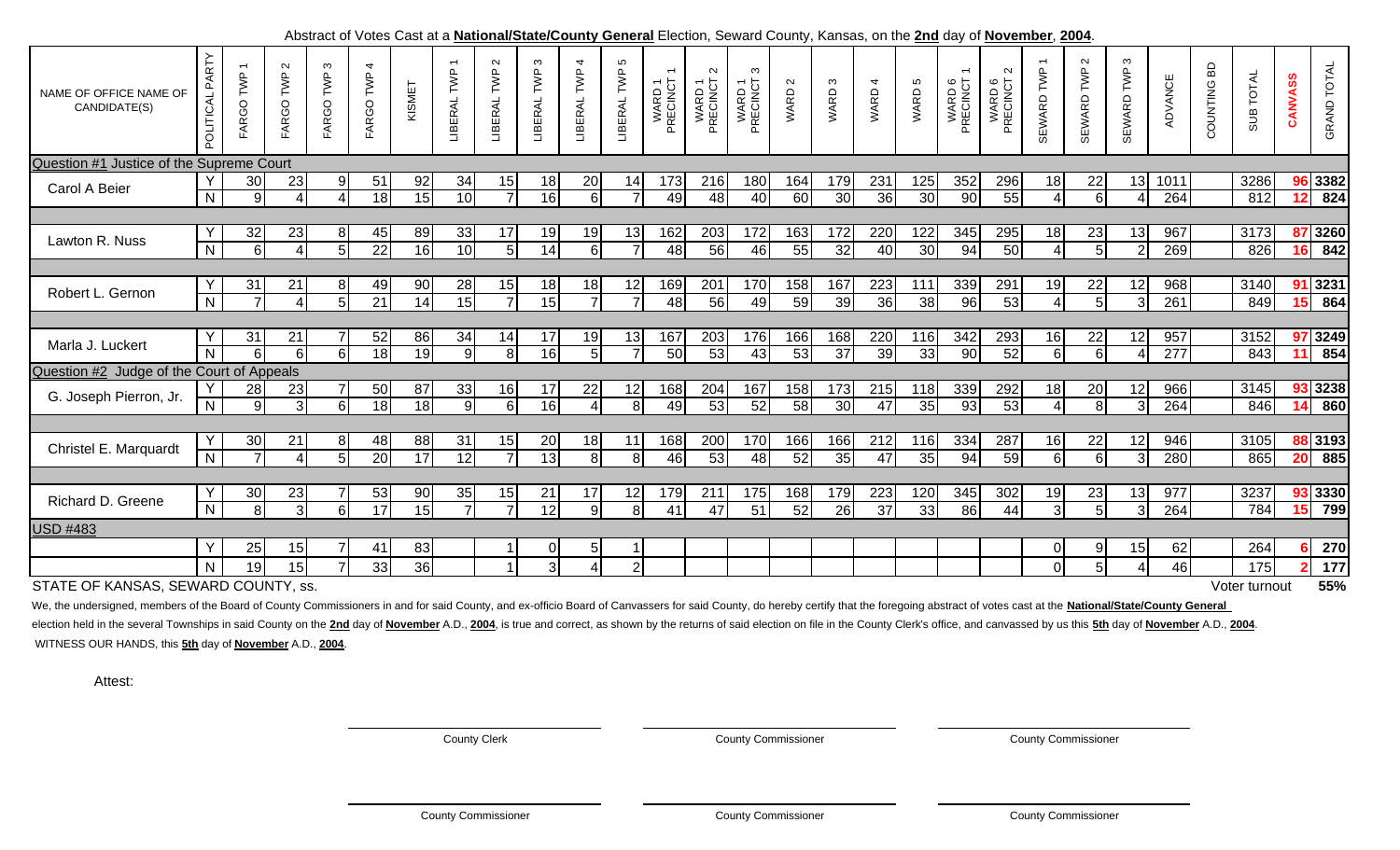| NAME OF OFFICE NAME OF<br>CANDIDATE(S)    | POLITICAL PARTY     | FARGO TWP            | $\sim$<br>FARGO TWP  | $\infty$<br>TWP<br>FARGO <sup>-</sup> | 4<br>FARGO TWP        | KISMET   | $\overline{\phantom{m}}$<br>TWP<br>LIBERAL | $\sim$<br>LIBERAL TWP | ო<br>TWP<br>LIBERAL   | $\overline{4}$<br>LIBERAL TWP | Ю<br>TWP<br>LIBERAL           | WARD 1<br>PRECINCT | $\sim$<br>WARD 1<br>PRECINCT | $\infty$<br>WARD 1<br>PRECINCT | WARD <sub>2</sub> | S<br>WARD:             | WARD 4                 | WARD 5    | WARD 6<br>PRECINCT | $\sim$<br>WARD 6<br>PRECINCT | SEWARD TWP           | $\sim$<br>SEWARD TWP | $\infty$<br>SEWARD TWP | ADVANCE     | COUNTING BD | SUB TOTAL     | CANVASS         | <b>GRAND TOTAL</b> |
|-------------------------------------------|---------------------|----------------------|----------------------|---------------------------------------|-----------------------|----------|--------------------------------------------|-----------------------|-----------------------|-------------------------------|-------------------------------|--------------------|------------------------------|--------------------------------|-------------------|------------------------|------------------------|-----------|--------------------|------------------------------|----------------------|----------------------|------------------------|-------------|-------------|---------------|-----------------|--------------------|
| Question #1 Justice of the Supreme Court  |                     |                      |                      |                                       |                       |          |                                            |                       |                       |                               |                               |                    |                              |                                |                   |                        |                        |           |                    |                              |                      |                      |                        |             |             |               |                 |                    |
| Carol A Beier                             | $\overline{N}$      | 30 <sub>l</sub><br>9 | 23<br>$\overline{4}$ | 9<br>$\boldsymbol{\Delta}$            | 51<br>18              | 92<br>15 | 34<br>10                                   | 15                    | 18<br>$\overline{16}$ | 20<br>$6 \mid$                | 14<br>$\overline{7}$          | 173<br>49          | 216<br>48                    | 180<br>40                      | 164<br>60         | 179<br>30              | 231<br>$\overline{36}$ | 125<br>30 | 352<br>90          | 296<br>55                    | 18<br>$\overline{4}$ | 22<br>6              | 13<br>4                | 1011<br>264 |             | 3286<br>812   | 12 <sub>1</sub> | 96 3382<br>824     |
| Lawton R. Nuss                            | $\overline{N}$      | 32<br>$6 \mid$       | 23<br>$\overline{4}$ | 8<br>$5\phantom{.0}$                  | 45<br>22              | 89<br>16 | 33<br>10                                   | 17<br>5 <sup>1</sup>  | 19<br>14              | 19<br>$6 \mid$                | 13                            | 162<br>48          | 203<br>56                    | 172<br>46                      | 163<br>55         | 172<br>32              | 220<br>40              | 122<br>30 | 345<br>94          | 295<br>50                    | 18<br>4 <sup>1</sup> | 23<br>5              | 13<br>2                | 967<br>269  |             | 3173<br>826   | 16 <sup>1</sup> | 87 3260<br>842     |
|                                           |                     |                      |                      |                                       |                       |          |                                            |                       |                       |                               |                               |                    |                              |                                |                   |                        |                        |           |                    |                              |                      |                      |                        |             |             |               |                 |                    |
| Robert L. Gernon                          | Υ<br>$\overline{N}$ | 31                   | 21<br>$\overline{4}$ | 8<br>$5\overline{)}$                  | 49<br>$\overline{21}$ | 90<br>14 | 28<br>15                                   | 15<br>$\overline{7}$  | 18<br>15              | 18<br>$\overline{7}$          | 12<br>$\overline{7}$          | 169<br>48          | 201<br>56                    | 170<br>49                      | 158<br>59         | 167<br>39              | 223<br>36              | 111<br>38 | 339<br>96          | 291<br>53                    | 19<br>$\overline{4}$ | 22<br>5              | 12<br>$\overline{3}$   | 968<br>261  |             | 3140<br>849   |                 | 91 3231<br>15 864  |
|                                           |                     |                      |                      |                                       |                       |          |                                            |                       |                       |                               |                               |                    |                              |                                |                   |                        |                        |           |                    |                              |                      |                      |                        |             |             |               |                 |                    |
| Marla J. Luckert                          | $\overline{N}$      | 31<br>6 <sup>1</sup> | 21<br>6I             | 6                                     | 52<br>18              | 86<br>19 | 34<br>q                                    | 14<br>8 <sup>1</sup>  | 17<br>16              | 19<br>5 <sub>l</sub>          | 13<br>$\overline{7}$          | 167<br>50          | 203<br>53                    | 176<br>43                      | 166<br>53         | 168<br>$\overline{37}$ | 220<br>39              | 116<br>33 | 342<br>90          | 293<br>52                    | 16<br>$6 \mid$       | 22<br>6              | 12<br>4                | 957<br>277  |             | 3152<br>843   | 11              | 97 3249<br>854     |
| Question #2 Judge of the Court of Appeals |                     |                      |                      |                                       |                       |          |                                            |                       |                       |                               |                               |                    |                              |                                |                   |                        |                        |           |                    |                              |                      |                      |                        |             |             |               |                 |                    |
| G. Joseph Pierron, Jr.                    | $\overline{N}$      | 28<br>$\overline{9}$ | 23<br>$\overline{3}$ | $6 \overline{6}$                      | 50<br>18              | 87<br>18 | 33<br><b>q</b>                             | 16<br>$6 \mid$        | 17<br>$\overline{16}$ | 22<br>4                       | 12<br>$\overline{\mathbf{8}}$ | 168<br>49          | 204<br>53                    | 167<br>52                      | 158<br>58         | 173<br>30              | 215<br>47              | 118<br>35 | 339<br>93          | 292<br>53                    | 18<br>$\overline{4}$ | 20<br>8              | 12<br>$\overline{3}$   | 966<br>264  |             | 3145<br>846   | 14              | 93 3238<br>860     |
|                                           |                     |                      |                      |                                       |                       |          |                                            |                       |                       |                               |                               |                    |                              |                                |                   |                        |                        |           |                    |                              |                      |                      |                        |             |             |               |                 |                    |
| Christel E. Marquardt                     | $\overline{N}$      | 30                   | 21<br>$\overline{4}$ | 8<br>5                                | 48<br>20              | 88<br>17 | 31<br>12                                   | 15<br>$\overline{7}$  | 20<br>13              | 18<br>8 <sup>1</sup>          | 11<br>8                       | 168<br>46          | 200<br>53                    | 170<br>48                      | 166<br>52         | 166<br>35              | 212<br>47              | 116<br>35 | 334<br>94          | 287<br>59                    | 16<br>6 <sup>1</sup> | 22<br>6              | 12<br>3                | 946<br>280  |             | 3105<br>865   | 20 <sup>1</sup> | 88 3193<br>885     |
|                                           |                     |                      |                      |                                       |                       |          |                                            |                       |                       |                               |                               |                    |                              |                                |                   |                        |                        |           |                    |                              |                      |                      |                        |             |             |               |                 |                    |
| Richard D. Greene                         | $\overline{N}$      | 30<br>$\overline{8}$ | 23<br>$\overline{3}$ | 6                                     | 53<br>17              | 90<br>15 | 35                                         | 15<br>$\overline{7}$  | 21<br>$\overline{12}$ | 17<br>9                       | 12<br>$\overline{8}$          | 179<br>41          | 211<br>47                    | 175<br>51                      | 168<br>52         | 179<br>$\overline{26}$ | 223<br>$\overline{37}$ | 120<br>33 | 345<br>86          | 302<br>44                    | 19<br>$\overline{3}$ | 23<br>$5\phantom{1}$ | 13<br>3                | 977<br>264  |             | 3237<br>784   | 15              | 93 3330<br>799     |
| <b>USD #483</b>                           |                     |                      |                      |                                       |                       |          |                                            |                       |                       |                               |                               |                    |                              |                                |                   |                        |                        |           |                    |                              |                      |                      |                        |             |             |               |                 |                    |
|                                           | Y                   | 25                   | 15                   |                                       | 41                    | 83       |                                            |                       | 0                     | 5 <sup>1</sup>                |                               |                    |                              |                                |                   |                        |                        |           |                    |                              | $\overline{0}$       | 9                    | 15                     | 62          |             | 264           |                 | 270                |
|                                           | N.                  | 19                   | 15                   |                                       | 33                    | 36       |                                            |                       | 3                     |                               | $\overline{2}$                |                    |                              |                                |                   |                        |                        |           |                    |                              | οI                   | 5                    | 4                      | 46          |             | 175           |                 | 177                |
| STATE OF KANSAS, SEWARD COUNTY, ss.       |                     |                      |                      |                                       |                       |          |                                            |                       |                       |                               |                               |                    |                              |                                |                   |                        |                        |           |                    |                              |                      |                      |                        |             |             | Voter turnout |                 | 55%                |

## Abstract of Votes Cast at a **National/State/County General** Election, Seward County, Kansas, on the **2nd** day of **November**, **2004**.

We, the undersigned, members of the Board of County Commissioners in and for said County, and ex-officio Board of Canvassers for said County, do hereby certify that the foregoing abstract of votes cast at the National/Stat

election held in the several Townships in said County on the 2nd day of November A.D., 2004, is true and correct, as shown by the returns of said election on file in the County Clerk's office, and canvassed by us this 5th WITNESS OUR HANDS, this **5th** day of **November** A.D., **2004**.

Attest:

County Clerk County Commissioner County Commissioner